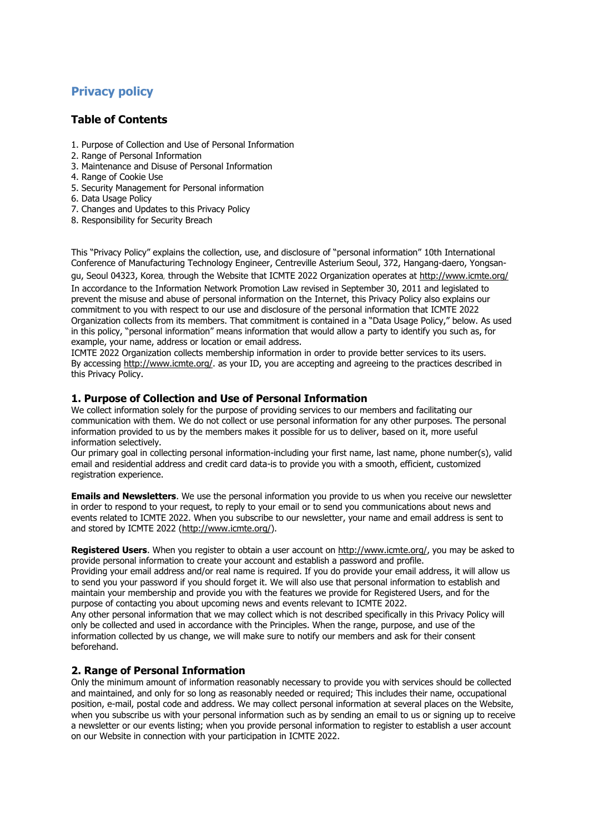# **Privacy policy**

# **Table of Contents**

- 1. Purpose of Collection and Use of Personal Information
- 2. Range of Personal Information
- 3. Maintenance and Disuse of Personal Information
- 4. Range of Cookie Use
- 5. Security Management for Personal information
- 6. Data Usage Policy
- 7. Changes and Updates to this Privacy Policy
- 8. Responsibility for Security Breach

This "Privacy Policy" explains the collection, use, and disclosure of "personal information" 10th International Conference of Manufacturing Technology Engineer, Centreville Asterium Seoul, 372, Hangang-daero, Yongsangu, Seoul 04323, Korea, through the Website that ICMTE 2022 Organization operates at<http://www.icmte.org/> In accordance to the Information Network Promotion Law revised in September 30, 2011 and legislated to prevent the misuse and abuse of personal information on the Internet, this Privacy Policy also explains our commitment to you with respect to our use and disclosure of the personal information that ICMTE 2022 Organization collects from its members. That commitment is contained in a "Data Usage Policy," below. As used in this policy, "personal information" means information that would allow a party to identify you such as, for example, your name, address or location or email address.

ICMTE 2022 Organization collects membership information in order to provide better services to its users. By accessing [http://www.icmte.org/.](http://www.icmte.org/) as your ID, you are accepting and agreeing to the practices described in this Privacy Policy.

#### **1. Purpose of Collection and Use of Personal Information**

We collect information solely for the purpose of providing services to our members and facilitating our communication with them. We do not collect or use personal information for any other purposes. The personal information provided to us by the members makes it possible for us to deliver, based on it, more useful information selectively.

Our primary goal in collecting personal information-including your first name, last name, phone number(s), valid email and residential address and credit card data-is to provide you with a smooth, efficient, customized registration experience.

**Emails and Newsletters**. We use the personal information you provide to us when you receive our newsletter in order to respond to your request, to reply to your email or to send you communications about news and events related to ICMTE 2022. When you subscribe to our newsletter, your name and email address is sent to and stored by ICMTE 2022 [\(http://www.icmte.org/\)](http://www.icmte.org/).

**Registered Users**. When you register to obtain a user account on [http://www.icmte.org/,](http://www.icmte.org/) you may be asked to provide personal information to create your account and establish a password and profile.

Providing your email address and/or real name is required. If you do provide your email address, it will allow us to send you your password if you should forget it. We will also use that personal information to establish and maintain your membership and provide you with the features we provide for Registered Users, and for the purpose of contacting you about upcoming news and events relevant to ICMTE 2022.

Any other personal information that we may collect which is not described specifically in this Privacy Policy will only be collected and used in accordance with the Principles. When the range, purpose, and use of the information collected by us change, we will make sure to notify our members and ask for their consent beforehand.

#### **2. Range of Personal Information**

Only the minimum amount of information reasonably necessary to provide you with services should be collected and maintained, and only for so long as reasonably needed or required; This includes their name, occupational position, e-mail, postal code and address. We may collect personal information at several places on the Website, when you subscribe us with your personal information such as by sending an email to us or signing up to receive a newsletter or our events listing; when you provide personal information to register to establish a user account on our Website in connection with your participation in ICMTE 2022.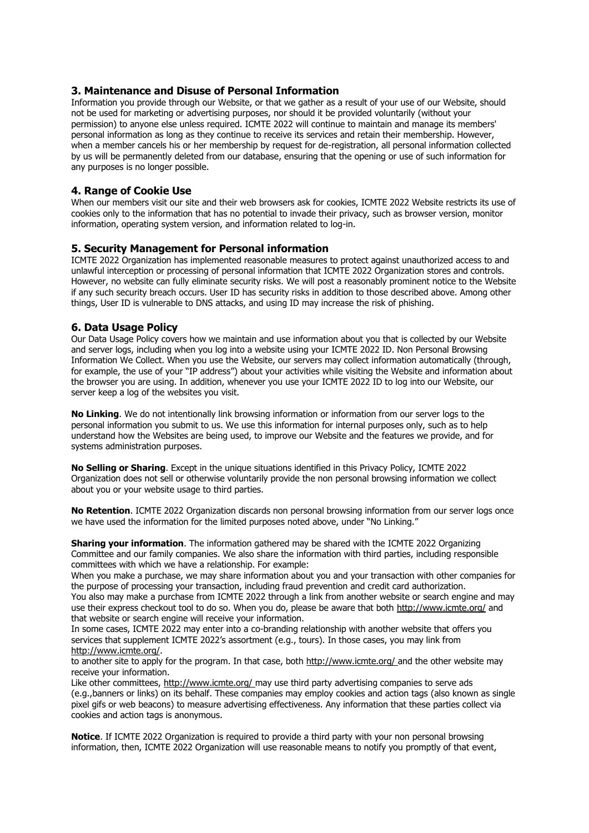#### **3. Maintenance and Disuse of Personal Information**

Information you provide through our Website, or that we gather as a result of your use of our Website, should not be used for marketing or advertising purposes, nor should it be provided voluntarily (without your permission) to anyone else unless required. ICMTE 2022 will continue to maintain and manage its members' personal information as long as they continue to receive its services and retain their membership. However, when a member cancels his or her membership by request for de-registration, all personal information collected by us will be permanently deleted from our database, ensuring that the opening or use of such information for any purposes is no longer possible.

#### **4. Range of Cookie Use**

When our members visit our site and their web browsers ask for cookies, ICMTE 2022 Website restricts its use of cookies only to the information that has no potential to invade their privacy, such as browser version, monitor information, operating system version, and information related to log-in.

#### **5. Security Management for Personal information**

ICMTE 2022 Organization has implemented reasonable measures to protect against unauthorized access to and unlawful interception or processing of personal information that ICMTE 2022 Organization stores and controls. However, no website can fully eliminate security risks. We will post a reasonably prominent notice to the Website if any such security breach occurs. User ID has security risks in addition to those described above. Among other things, User ID is vulnerable to DNS attacks, and using ID may increase the risk of phishing.

#### **6. Data Usage Policy**

Our Data Usage Policy covers how we maintain and use information about you that is collected by our Website and server logs, including when you log into a website using your ICMTE 2022 ID. Non Personal Browsing Information We Collect. When you use the Website, our servers may collect information automatically (through, for example, the use of your "IP address") about your activities while visiting the Website and information about the browser you are using. In addition, whenever you use your ICMTE 2022 ID to log into our Website, our server keep a log of the websites you visit.

**No Linking**. We do not intentionally link browsing information or information from our server logs to the personal information you submit to us. We use this information for internal purposes only, such as to help understand how the Websites are being used, to improve our Website and the features we provide, and for systems administration purposes.

**No Selling or Sharing**. Except in the unique situations identified in this Privacy Policy, ICMTE 2022 Organization does not sell or otherwise voluntarily provide the non personal browsing information we collect about you or your website usage to third parties.

**No Retention**. ICMTE 2022 Organization discards non personal browsing information from our server logs once we have used the information for the limited purposes noted above, under "No Linking."

**Sharing your information**. The information gathered may be shared with the ICMTE 2022 Organizing Committee and our family companies. We also share the information with third parties, including responsible committees with which we have a relationship. For example:

When you make a purchase, we may share information about you and your transaction with other companies for the purpose of processing your transaction, including fraud prevention and credit card authorization.

You also may make a purchase from ICMTE 2022 through a link from another website or search engine and may use their express checkout tool to do so. When you do, please be aware that both<http://www.icmte.org/> and that website or search engine will receive your information.

In some cases, ICMTE 2022 may enter into a co-branding relationship with another website that offers you services that supplement ICMTE 2022's assortment (e.g., tours). In those cases, you may link from [http://www.icmte.org/.](http://www.icmte.org/)

to another site to apply for the program. In that case, both<http://www.icmte.org/> and the other website may receive your information.

Like other committees,<http://www.icmte.org/> may use third party advertising companies to serve ads (e.g.,banners or links) on its behalf. These companies may employ cookies and action tags (also known as single pixel gifs or web beacons) to measure advertising effectiveness. Any information that these parties collect via cookies and action tags is anonymous.

**Notice**. If ICMTE 2022 Organization is required to provide a third party with your non personal browsing information, then, ICMTE 2022 Organization will use reasonable means to notify you promptly of that event,